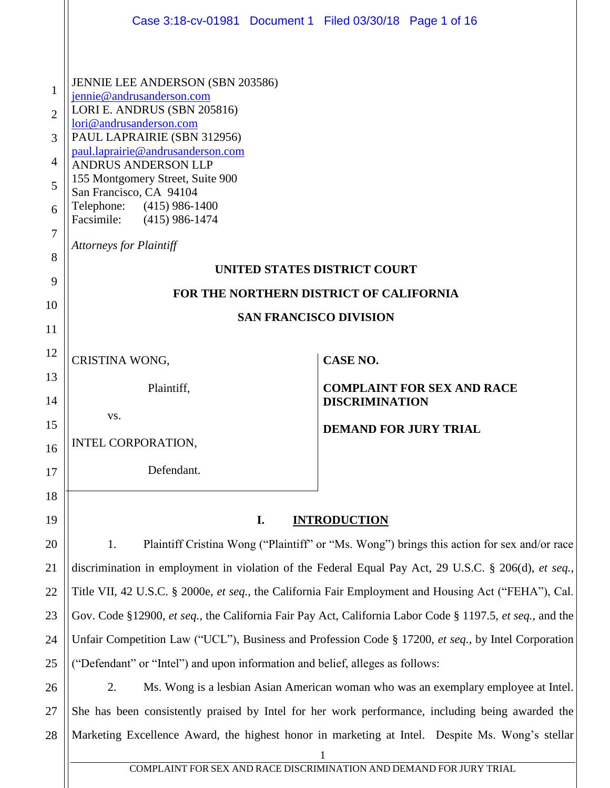| Case 3:18-cv-01981 Document 1 Filed 03/30/18 Page 1 of 16                                                                                                                                                                                                                                                                                                                            |                                                                                                      |  |
|--------------------------------------------------------------------------------------------------------------------------------------------------------------------------------------------------------------------------------------------------------------------------------------------------------------------------------------------------------------------------------------|------------------------------------------------------------------------------------------------------|--|
| JENNIE LEE ANDERSON (SBN 203586)<br>jennie@andrusanderson.com<br>LORI E. ANDRUS (SBN 205816)<br>lori@andrusanderson.com<br>PAUL LAPRAIRIE (SBN 312956)<br>paul.laprairie@andrusanderson.com<br><b>ANDRUS ANDERSON LLP</b><br>155 Montgomery Street, Suite 900<br>San Francisco, CA 94104<br>Telephone: (415) 986-1400<br>Facsimile: (415) 986-1474<br><b>Attorneys for Plaintiff</b> |                                                                                                      |  |
| UNITED STATES DISTRICT COURT                                                                                                                                                                                                                                                                                                                                                         |                                                                                                      |  |
| FOR THE NORTHERN DISTRICT OF CALIFORNIA                                                                                                                                                                                                                                                                                                                                              |                                                                                                      |  |
| <b>SAN FRANCISCO DIVISION</b>                                                                                                                                                                                                                                                                                                                                                        |                                                                                                      |  |
| CRISTINA WONG,                                                                                                                                                                                                                                                                                                                                                                       | <b>CASE NO.</b>                                                                                      |  |
| Plaintiff,                                                                                                                                                                                                                                                                                                                                                                           | <b>COMPLAINT FOR SEX AND RACE</b><br><b>DISCRIMINATION</b>                                           |  |
| VS.                                                                                                                                                                                                                                                                                                                                                                                  | <b>DEMAND FOR JURY TRIAL</b>                                                                         |  |
| INTEL CORPORATION,                                                                                                                                                                                                                                                                                                                                                                   |                                                                                                      |  |
| Defendant.                                                                                                                                                                                                                                                                                                                                                                           |                                                                                                      |  |
|                                                                                                                                                                                                                                                                                                                                                                                      |                                                                                                      |  |
| I.                                                                                                                                                                                                                                                                                                                                                                                   | <b>INTRODUCTION</b>                                                                                  |  |
| Plaintiff Cristina Wong ("Plaintiff" or "Ms. Wong") brings this action for sex and/or race<br>1.                                                                                                                                                                                                                                                                                     |                                                                                                      |  |
| discrimination in employment in violation of the Federal Equal Pay Act, 29 U.S.C. § 206(d), et seq.,                                                                                                                                                                                                                                                                                 |                                                                                                      |  |
| Title VII, 42 U.S.C. § 2000e, et seq., the California Fair Employment and Housing Act ("FEHA"), Cal.                                                                                                                                                                                                                                                                                 |                                                                                                      |  |
| Gov. Code §12900, et seq., the California Fair Pay Act, California Labor Code § 1197.5, et seq., and the                                                                                                                                                                                                                                                                             |                                                                                                      |  |
| Unfair Competition Law ("UCL"), Business and Profession Code § 17200, et seq., by Intel Corporation                                                                                                                                                                                                                                                                                  |                                                                                                      |  |
| ("Defendant" or "Intel") and upon information and belief, alleges as follows:                                                                                                                                                                                                                                                                                                        |                                                                                                      |  |
| Ms. Wong is a lesbian Asian American woman who was an exemplary employee at Intel.<br>2.                                                                                                                                                                                                                                                                                             |                                                                                                      |  |
| She has been consistently praised by Intel for her work performance, including being awarded the                                                                                                                                                                                                                                                                                     |                                                                                                      |  |
|                                                                                                                                                                                                                                                                                                                                                                                      | Marketing Excellence Award, the highest honor in marketing at Intel. Despite Ms. Wong's stellar<br>1 |  |
|                                                                                                                                                                                                                                                                                                                                                                                      |                                                                                                      |  |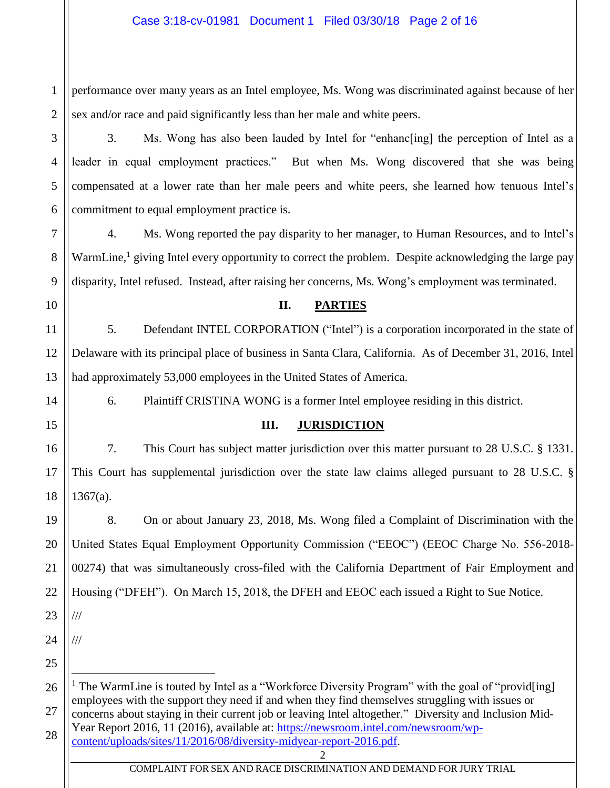1 2 performance over many years as an Intel employee, Ms. Wong was discriminated against because of her sex and/or race and paid significantly less than her male and white peers.

3. Ms. Wong has also been lauded by Intel for "enhanc[ing] the perception of Intel as a leader in equal employment practices." But when Ms. Wong discovered that she was being compensated at a lower rate than her male peers and white peers, she learned how tenuous Intel's commitment to equal employment practice is.

4. Ms. Wong reported the pay disparity to her manager, to Human Resources, and to Intel's WarmLine,<sup>1</sup> giving Intel every opportunity to correct the problem. Despite acknowledging the large pay disparity, Intel refused. Instead, after raising her concerns, Ms. Wong's employment was terminated.

10

3

4

5

6

7

8

9

# **II. PARTIES**

11 12 13 5. Defendant INTEL CORPORATION ("Intel") is a corporation incorporated in the state of Delaware with its principal place of business in Santa Clara, California. As of December 31, 2016, Intel had approximately 53,000 employees in the United States of America.

14

15

16

17

18

# 6. Plaintiff CRISTINA WONG is a former Intel employee residing in this district.

# **III. JURISDICTION**

7. This Court has subject matter jurisdiction over this matter pursuant to 28 U.S.C. § 1331. This Court has supplemental jurisdiction over the state law claims alleged pursuant to 28 U.S.C. §  $1367(a)$ .

19 20 21 22 23 8. On or about January 23, 2018, Ms. Wong filed a Complaint of Discrimination with the United States Equal Employment Opportunity Commission ("EEOC") (EEOC Charge No. 556-2018- 00274) that was simultaneously cross-filed with the California Department of Fair Employment and Housing ("DFEH"). On March 15, 2018, the DFEH and EEOC each issued a Right to Sue Notice. ///

24

///

 $\overline{a}$ 

25

26 27 28 <sup>1</sup> The WarmLine is touted by Intel as a "Workforce Diversity Program" with the goal of "provid[ing] employees with the support they need if and when they find themselves struggling with issues or concerns about staying in their current job or leaving Intel altogether." Diversity and Inclusion MidYear Report 2016, 11 (2016), available at: [https://newsroom.intel.com/newsroom/wp-](https://newsroom.intel.com/newsroom/wp-content/uploads/sites/11/2016/08/diversity-midyear-report-2016.pdf)

2 [content/uploads/sites/11/2016/08/diversity-midyear-report-2016.pdf.](https://newsroom.intel.com/newsroom/wp-content/uploads/sites/11/2016/08/diversity-midyear-report-2016.pdf)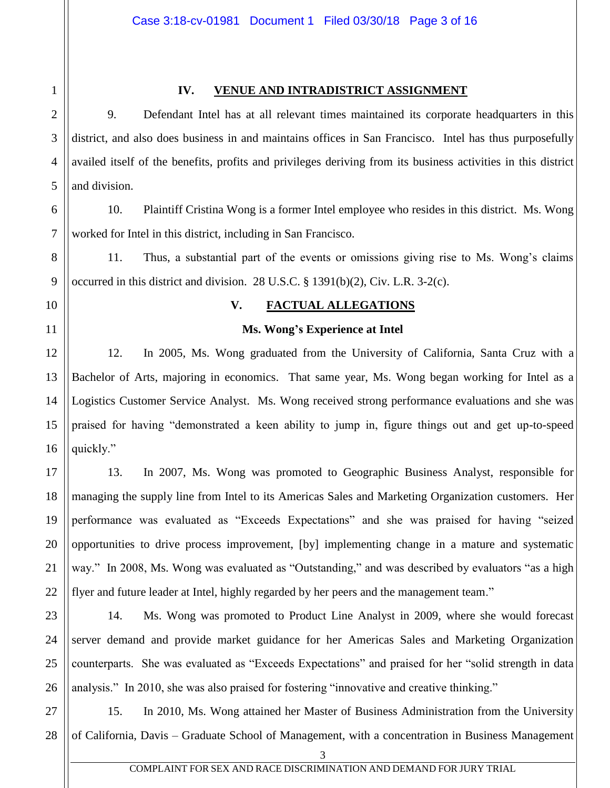# 1 2

3

4

5

## **IV. VENUE AND INTRADISTRICT ASSIGNMENT**

9. Defendant Intel has at all relevant times maintained its corporate headquarters in this district, and also does business in and maintains offices in San Francisco. Intel has thus purposefully availed itself of the benefits, profits and privileges deriving from its business activities in this district and division.

6 7 10. Plaintiff Cristina Wong is a former Intel employee who resides in this district. Ms. Wong worked for Intel in this district, including in San Francisco.

11. Thus, a substantial part of the events or omissions giving rise to Ms. Wong's claims occurred in this district and division. 28 U.S.C. § 1391(b)(2), Civ. L.R. 3-2(c).

# 10

8

9

11

12

13

14

15

16

23

24

25

# **V. FACTUAL ALLEGATIONS**

## **Ms. Wong's Experience at Intel**

12. In 2005, Ms. Wong graduated from the University of California, Santa Cruz with a Bachelor of Arts, majoring in economics. That same year, Ms. Wong began working for Intel as a Logistics Customer Service Analyst. Ms. Wong received strong performance evaluations and she was praised for having "demonstrated a keen ability to jump in, figure things out and get up-to-speed quickly."

17 18 19 20 21 22 13. In 2007, Ms. Wong was promoted to Geographic Business Analyst, responsible for managing the supply line from Intel to its Americas Sales and Marketing Organization customers. Her performance was evaluated as "Exceeds Expectations" and she was praised for having "seized opportunities to drive process improvement, [by] implementing change in a mature and systematic way." In 2008, Ms. Wong was evaluated as "Outstanding," and was described by evaluators "as a high flyer and future leader at Intel, highly regarded by her peers and the management team."

26 14. Ms. Wong was promoted to Product Line Analyst in 2009, where she would forecast server demand and provide market guidance for her Americas Sales and Marketing Organization counterparts. She was evaluated as "Exceeds Expectations" and praised for her "solid strength in data analysis." In 2010, she was also praised for fostering "innovative and creative thinking."

27 28 15. In 2010, Ms. Wong attained her Master of Business Administration from the University of California, Davis – Graduate School of Management, with a concentration in Business Management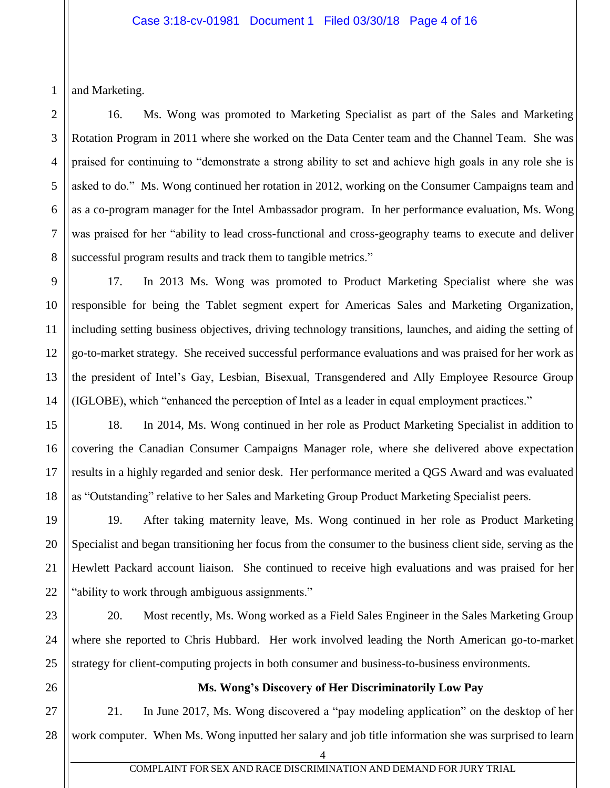1 and Marketing.

2

3

4

5

6

7

8

16. Ms. Wong was promoted to Marketing Specialist as part of the Sales and Marketing Rotation Program in 2011 where she worked on the Data Center team and the Channel Team. She was praised for continuing to "demonstrate a strong ability to set and achieve high goals in any role she is asked to do." Ms. Wong continued her rotation in 2012, working on the Consumer Campaigns team and as a co-program manager for the Intel Ambassador program. In her performance evaluation, Ms. Wong was praised for her "ability to lead cross-functional and cross-geography teams to execute and deliver successful program results and track them to tangible metrics."

17. In 2013 Ms. Wong was promoted to Product Marketing Specialist where she was responsible for being the Tablet segment expert for Americas Sales and Marketing Organization, including setting business objectives, driving technology transitions, launches, and aiding the setting of go-to-market strategy. She received successful performance evaluations and was praised for her work as the president of Intel's Gay, Lesbian, Bisexual, Transgendered and Ally Employee Resource Group (IGLOBE), which "enhanced the perception of Intel as a leader in equal employment practices."

18. In 2014, Ms. Wong continued in her role as Product Marketing Specialist in addition to covering the Canadian Consumer Campaigns Manager role, where she delivered above expectation results in a highly regarded and senior desk. Her performance merited a QGS Award and was evaluated as "Outstanding" relative to her Sales and Marketing Group Product Marketing Specialist peers.

19. After taking maternity leave, Ms. Wong continued in her role as Product Marketing Specialist and began transitioning her focus from the consumer to the business client side, serving as the Hewlett Packard account liaison. She continued to receive high evaluations and was praised for her "ability to work through ambiguous assignments."

20. Most recently, Ms. Wong worked as a Field Sales Engineer in the Sales Marketing Group where she reported to Chris Hubbard. Her work involved leading the North American go-to-market strategy for client-computing projects in both consumer and business-to-business environments.

# **Ms. Wong's Discovery of Her Discriminatorily Low Pay**

21. In June 2017, Ms. Wong discovered a "pay modeling application" on the desktop of her work computer. When Ms. Wong inputted her salary and job title information she was surprised to learn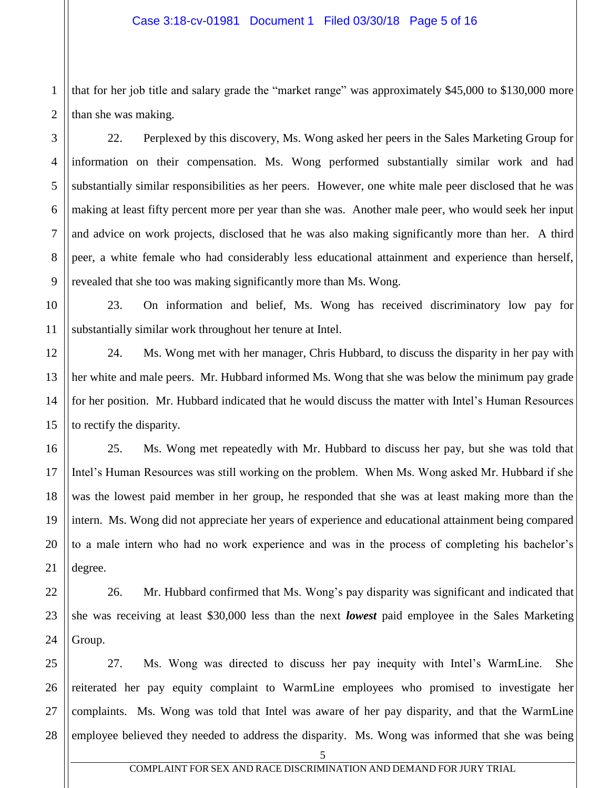1 2 that for her job title and salary grade the "market range" was approximately \$45,000 to \$130,000 more than she was making.

22. Perplexed by this discovery, Ms. Wong asked her peers in the Sales Marketing Group for information on their compensation. Ms. Wong performed substantially similar work and had substantially similar responsibilities as her peers. However, one white male peer disclosed that he was making at least fifty percent more per year than she was. Another male peer, who would seek her input and advice on work projects, disclosed that he was also making significantly more than her. A third peer, a white female who had considerably less educational attainment and experience than herself, revealed that she too was making significantly more than Ms. Wong.

23. On information and belief, Ms. Wong has received discriminatory low pay for substantially similar work throughout her tenure at Intel.

24. Ms. Wong met with her manager, Chris Hubbard, to discuss the disparity in her pay with her white and male peers. Mr. Hubbard informed Ms. Wong that she was below the minimum pay grade for her position. Mr. Hubbard indicated that he would discuss the matter with Intel's Human Resources to rectify the disparity.

25. Ms. Wong met repeatedly with Mr. Hubbard to discuss her pay, but she was told that Intel's Human Resources was still working on the problem. When Ms. Wong asked Mr. Hubbard if she was the lowest paid member in her group, he responded that she was at least making more than the intern. Ms. Wong did not appreciate her years of experience and educational attainment being compared to a male intern who had no work experience and was in the process of completing his bachelor's degree.

26. Mr. Hubbard confirmed that Ms. Wong's pay disparity was significant and indicated that she was receiving at least \$30,000 less than the next *lowest* paid employee in the Sales Marketing Group.

27. Ms. Wong was directed to discuss her pay inequity with Intel's WarmLine. She reiterated her pay equity complaint to WarmLine employees who promised to investigate her complaints. Ms. Wong was told that Intel was aware of her pay disparity, and that the WarmLine employee believed they needed to address the disparity. Ms. Wong was informed that she was being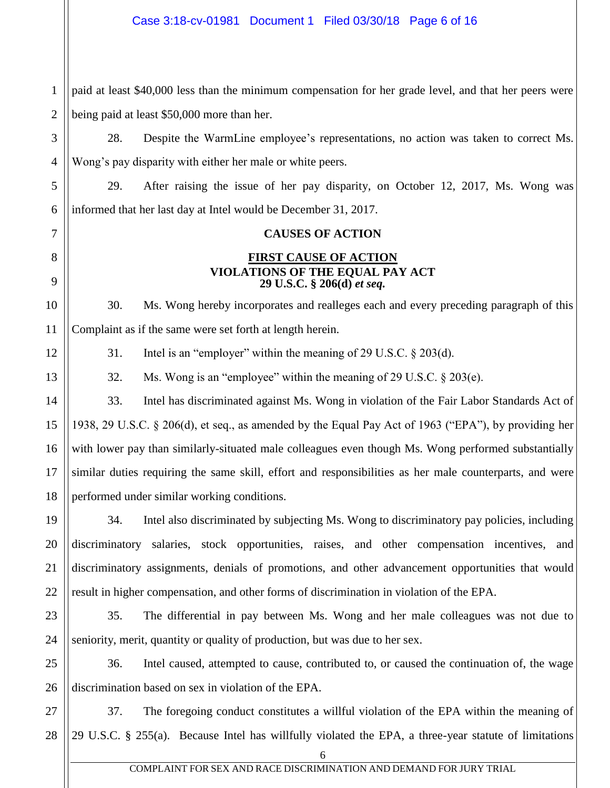1 2 paid at least \$40,000 less than the minimum compensation for her grade level, and that her peers were being paid at least \$50,000 more than her.

28. Despite the WarmLine employee's representations, no action was taken to correct Ms. Wong's pay disparity with either her male or white peers.

29. After raising the issue of her pay disparity, on October 12, 2017, Ms. Wong was informed that her last day at Intel would be December 31, 2017.

### **CAUSES OF ACTION**

### **FIRST CAUSE OF ACTION VIOLATIONS OF THE EQUAL PAY ACT 29 U.S.C. § 206(d)** *et seq.*

30. Ms. Wong hereby incorporates and realleges each and every preceding paragraph of this Complaint as if the same were set forth at length herein.

31. Intel is an "employer" within the meaning of 29 U.S.C. § 203(d).

32. Ms. Wong is an "employee" within the meaning of 29 U.S.C. § 203(e).

33. Intel has discriminated against Ms. Wong in violation of the Fair Labor Standards Act of 1938, 29 U.S.C. § 206(d), et seq., as amended by the Equal Pay Act of 1963 ("EPA"), by providing her with lower pay than similarly-situated male colleagues even though Ms. Wong performed substantially similar duties requiring the same skill, effort and responsibilities as her male counterparts, and were performed under similar working conditions.

34. Intel also discriminated by subjecting Ms. Wong to discriminatory pay policies, including discriminatory salaries, stock opportunities, raises, and other compensation incentives, and discriminatory assignments, denials of promotions, and other advancement opportunities that would result in higher compensation, and other forms of discrimination in violation of the EPA.

35. The differential in pay between Ms. Wong and her male colleagues was not due to seniority, merit, quantity or quality of production, but was due to her sex.

36. Intel caused, attempted to cause, contributed to, or caused the continuation of, the wage discrimination based on sex in violation of the EPA.

37. The foregoing conduct constitutes a willful violation of the EPA within the meaning of 29 U.S.C. § 255(a). Because Intel has willfully violated the EPA, a three-year statute of limitations

3

4

5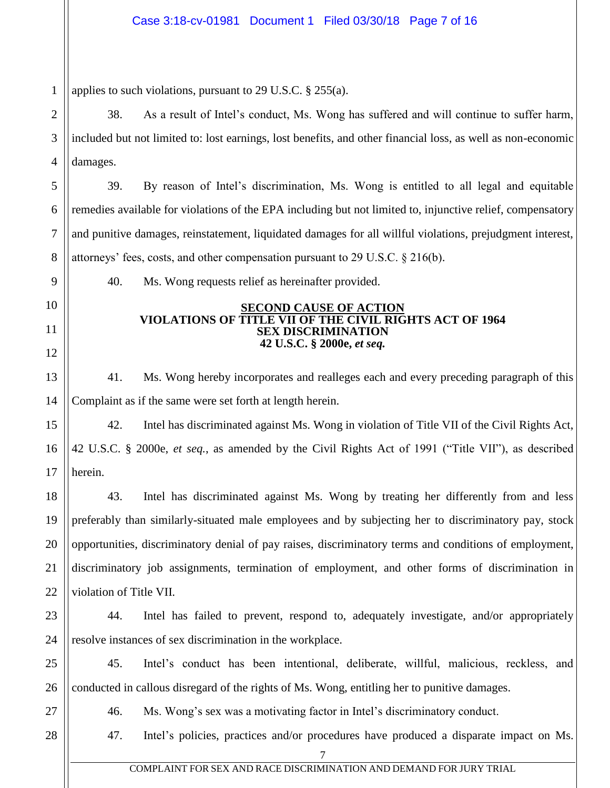1 2 3 4 5 6 7 8 9 10 11 12 13 14 15 16 17 18 19 20 21 22 23 24 25 26 27 28 7 applies to such violations, pursuant to 29 U.S.C. § 255(a). 38. As a result of Intel's conduct, Ms. Wong has suffered and will continue to suffer harm, included but not limited to: lost earnings, lost benefits, and other financial loss, as well as non-economic damages. 39. By reason of Intel's discrimination, Ms. Wong is entitled to all legal and equitable remedies available for violations of the EPA including but not limited to, injunctive relief, compensatory and punitive damages, reinstatement, liquidated damages for all willful violations, prejudgment interest, attorneys' fees, costs, and other compensation pursuant to 29 U.S.C. § 216(b). 40. Ms. Wong requests relief as hereinafter provided. **SECOND CAUSE OF ACTION VIOLATIONS OF TITLE VII OF THE CIVIL RIGHTS ACT OF 1964 SEX DISCRIMINATION 42 U.S.C. § 2000e,** *et seq.* 41. Ms. Wong hereby incorporates and realleges each and every preceding paragraph of this Complaint as if the same were set forth at length herein. 42. Intel has discriminated against Ms. Wong in violation of Title VII of the Civil Rights Act, 42 U.S.C. § 2000e, *et seq.*, as amended by the Civil Rights Act of 1991 ("Title VII"), as described herein. 43. Intel has discriminated against Ms. Wong by treating her differently from and less preferably than similarly-situated male employees and by subjecting her to discriminatory pay, stock opportunities, discriminatory denial of pay raises, discriminatory terms and conditions of employment, discriminatory job assignments, termination of employment, and other forms of discrimination in violation of Title VII. 44. Intel has failed to prevent, respond to, adequately investigate, and/or appropriately resolve instances of sex discrimination in the workplace. 45. Intel's conduct has been intentional, deliberate, willful, malicious, reckless, and conducted in callous disregard of the rights of Ms. Wong, entitling her to punitive damages. 46. Ms. Wong's sex was a motivating factor in Intel's discriminatory conduct. 47. Intel's policies, practices and/or procedures have produced a disparate impact on Ms.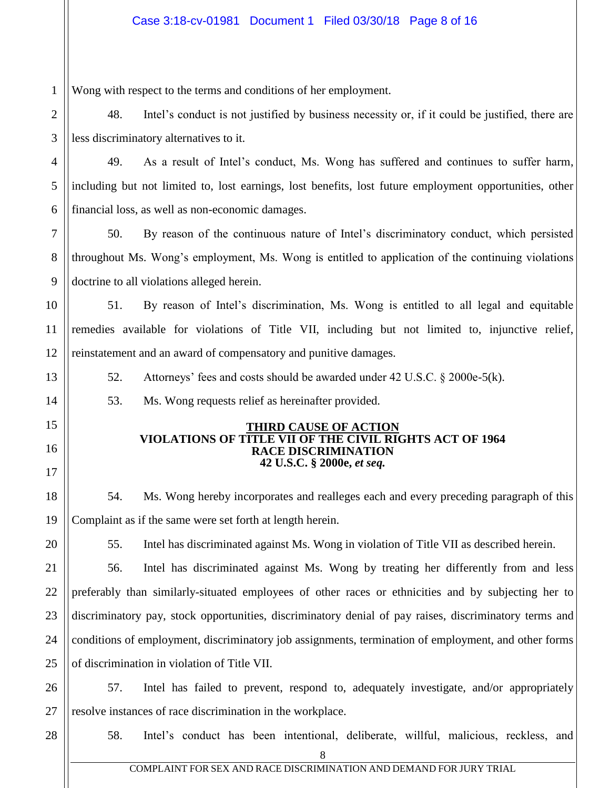1 Wong with respect to the terms and conditions of her employment.

2 3 48. Intel's conduct is not justified by business necessity or, if it could be justified, there are less discriminatory alternatives to it.

4 5 6 49. As a result of Intel's conduct, Ms. Wong has suffered and continues to suffer harm, including but not limited to, lost earnings, lost benefits, lost future employment opportunities, other financial loss, as well as non-economic damages.

50. By reason of the continuous nature of Intel's discriminatory conduct, which persisted throughout Ms. Wong's employment, Ms. Wong is entitled to application of the continuing violations doctrine to all violations alleged herein.

10 12 51. By reason of Intel's discrimination, Ms. Wong is entitled to all legal and equitable remedies available for violations of Title VII, including but not limited to, injunctive relief, reinstatement and an award of compensatory and punitive damages.

52. Attorneys' fees and costs should be awarded under 42 U.S.C. § 2000e-5(k).

53. Ms. Wong requests relief as hereinafter provided.

#### **THIRD CAUSE OF ACTION VIOLATIONS OF TITLE VII OF THE CIVIL RIGHTS ACT OF 1964 RACE DISCRIMINATION 42 U.S.C. § 2000e,** *et seq.*

18 54. Ms. Wong hereby incorporates and realleges each and every preceding paragraph of this Complaint as if the same were set forth at length herein.

55. Intel has discriminated against Ms. Wong in violation of Title VII as described herein.

21 22 23 24 25 56. Intel has discriminated against Ms. Wong by treating her differently from and less preferably than similarly-situated employees of other races or ethnicities and by subjecting her to discriminatory pay, stock opportunities, discriminatory denial of pay raises, discriminatory terms and conditions of employment, discriminatory job assignments, termination of employment, and other forms of discrimination in violation of Title VII.

26 27 57. Intel has failed to prevent, respond to, adequately investigate, and/or appropriately resolve instances of race discrimination in the workplace.

28

7

8

9

11

13

14

15

16

17

19

20

58. Intel's conduct has been intentional, deliberate, willful, malicious, reckless, and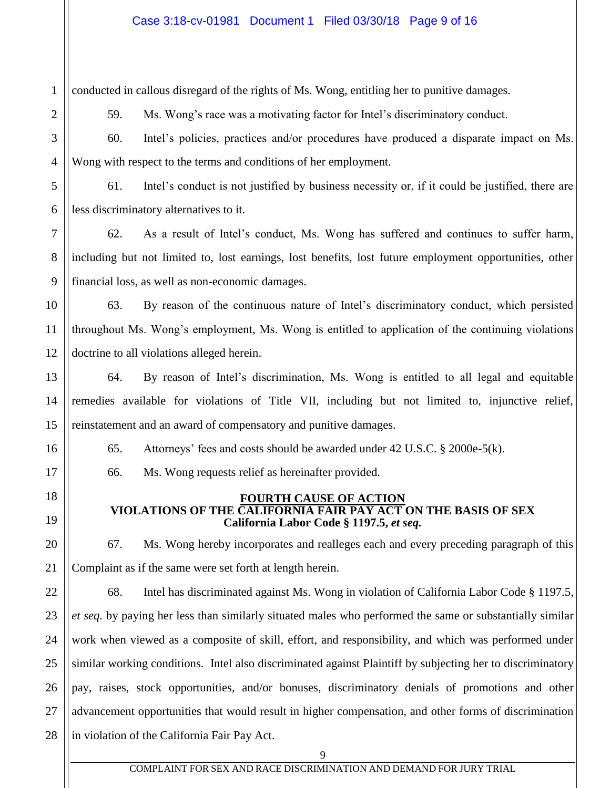conducted in callous disregard of the rights of Ms. Wong, entitling her to punitive damages.

1

2

3

4

7

8

9

11

12

13

14

15

16

17

18

19

20

21

59. Ms. Wong's race was a motivating factor for Intel's discriminatory conduct.

60. Intel's policies, practices and/or procedures have produced a disparate impact on Ms. Wong with respect to the terms and conditions of her employment.

5 6 61. Intel's conduct is not justified by business necessity or, if it could be justified, there are less discriminatory alternatives to it.

62. As a result of Intel's conduct, Ms. Wong has suffered and continues to suffer harm, including but not limited to, lost earnings, lost benefits, lost future employment opportunities, other financial loss, as well as non-economic damages.

10 63. By reason of the continuous nature of Intel's discriminatory conduct, which persisted throughout Ms. Wong's employment, Ms. Wong is entitled to application of the continuing violations doctrine to all violations alleged herein.

64. By reason of Intel's discrimination, Ms. Wong is entitled to all legal and equitable remedies available for violations of Title VII, including but not limited to, injunctive relief, reinstatement and an award of compensatory and punitive damages.

65. Attorneys' fees and costs should be awarded under 42 U.S.C. § 2000e-5(k).

66. Ms. Wong requests relief as hereinafter provided.

## **FOURTH CAUSE OF ACTION VIOLATIONS OF THE CALIFORNIA FAIR PAY ACT ON THE BASIS OF SEX California Labor Code § 1197.5,** *et seq.*

67. Ms. Wong hereby incorporates and realleges each and every preceding paragraph of this Complaint as if the same were set forth at length herein.

22 23 24 25 26 27 28 68. Intel has discriminated against Ms. Wong in violation of California Labor Code § 1197.5, *et seq.* by paying her less than similarly situated males who performed the same or substantially similar work when viewed as a composite of skill, effort, and responsibility, and which was performed under similar working conditions. Intel also discriminated against Plaintiff by subjecting her to discriminatory pay, raises, stock opportunities, and/or bonuses, discriminatory denials of promotions and other advancement opportunities that would result in higher compensation, and other forms of discrimination in violation of the California Fair Pay Act.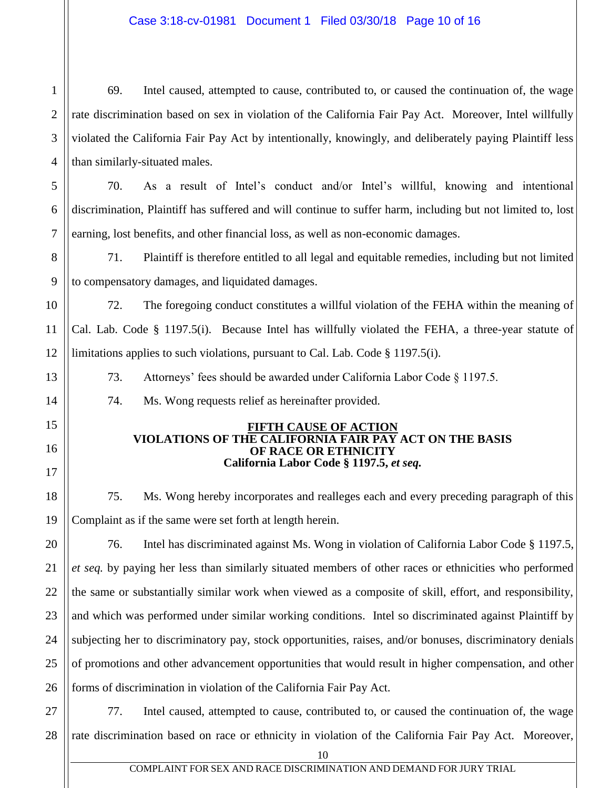## Case 3:18-cv-01981 Document 1 Filed 03/30/18 Page 10 of 16

1 2 3 4 69. Intel caused, attempted to cause, contributed to, or caused the continuation of, the wage rate discrimination based on sex in violation of the California Fair Pay Act. Moreover, Intel willfully violated the California Fair Pay Act by intentionally, knowingly, and deliberately paying Plaintiff less than similarly-situated males.

70. As a result of Intel's conduct and/or Intel's willful, knowing and intentional discrimination, Plaintiff has suffered and will continue to suffer harm, including but not limited to, lost earning, lost benefits, and other financial loss, as well as non-economic damages.

71. Plaintiff is therefore entitled to all legal and equitable remedies, including but not limited to compensatory damages, and liquidated damages.

10 12 72. The foregoing conduct constitutes a willful violation of the FEHA within the meaning of Cal. Lab. Code § 1197.5(i). Because Intel has willfully violated the FEHA, a three-year statute of limitations applies to such violations, pursuant to Cal. Lab. Code § 1197.5(i).

73. Attorneys' fees should be awarded under California Labor Code § 1197.5.

74. Ms. Wong requests relief as hereinafter provided.

5

6

7

8

9

11

13

14

15

16

17

18

19

#### **FIFTH CAUSE OF ACTION VIOLATIONS OF THE CALIFORNIA FAIR PAY ACT ON THE BASIS OF RACE OR ETHNICITY California Labor Code § 1197.5,** *et seq.*

75. Ms. Wong hereby incorporates and realleges each and every preceding paragraph of this Complaint as if the same were set forth at length herein.

20 21 22 23 24 25 26 76. Intel has discriminated against Ms. Wong in violation of California Labor Code § 1197.5, *et seq.* by paying her less than similarly situated members of other races or ethnicities who performed the same or substantially similar work when viewed as a composite of skill, effort, and responsibility, and which was performed under similar working conditions. Intel so discriminated against Plaintiff by subjecting her to discriminatory pay, stock opportunities, raises, and/or bonuses, discriminatory denials of promotions and other advancement opportunities that would result in higher compensation, and other forms of discrimination in violation of the California Fair Pay Act.

27 28 77. Intel caused, attempted to cause, contributed to, or caused the continuation of, the wage rate discrimination based on race or ethnicity in violation of the California Fair Pay Act. Moreover,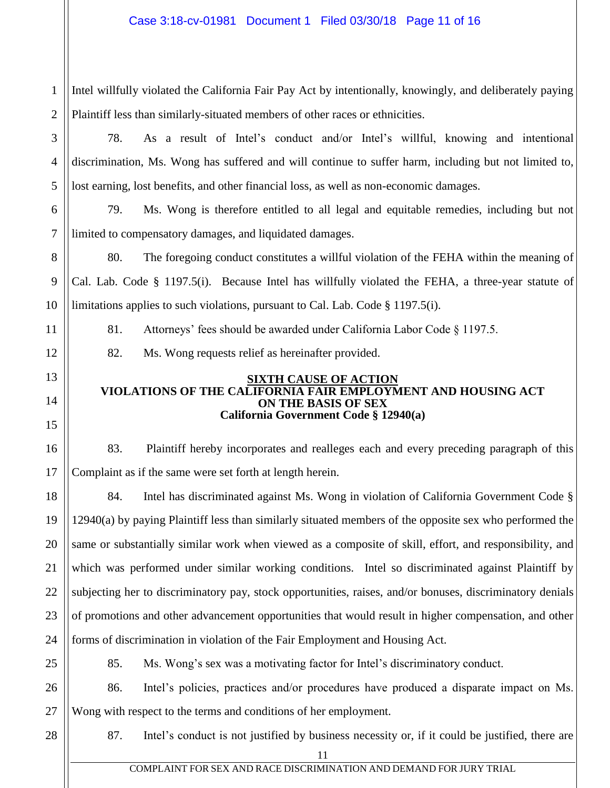1 2 Intel willfully violated the California Fair Pay Act by intentionally, knowingly, and deliberately paying Plaintiff less than similarly-situated members of other races or ethnicities.

3 4

5

6

7

9

11

12

13

14

15

16

17

19

20

21

22

23

24

25

78. As a result of Intel's conduct and/or Intel's willful, knowing and intentional discrimination, Ms. Wong has suffered and will continue to suffer harm, including but not limited to, lost earning, lost benefits, and other financial loss, as well as non-economic damages.

79. Ms. Wong is therefore entitled to all legal and equitable remedies, including but not limited to compensatory damages, and liquidated damages.

8 10 80. The foregoing conduct constitutes a willful violation of the FEHA within the meaning of Cal. Lab. Code § 1197.5(i). Because Intel has willfully violated the FEHA, a three-year statute of limitations applies to such violations, pursuant to Cal. Lab. Code § 1197.5(i).

81. Attorneys' fees should be awarded under California Labor Code § 1197.5.

82. Ms. Wong requests relief as hereinafter provided.

#### **SIXTH CAUSE OF ACTION VIOLATIONS OF THE CALIFORNIA FAIR EMPLOYMENT AND HOUSING ACT ON THE BASIS OF SEX California Government Code § 12940(a)**

83. Plaintiff hereby incorporates and realleges each and every preceding paragraph of this Complaint as if the same were set forth at length herein.

18 84. Intel has discriminated against Ms. Wong in violation of California Government Code § 12940(a) by paying Plaintiff less than similarly situated members of the opposite sex who performed the same or substantially similar work when viewed as a composite of skill, effort, and responsibility, and which was performed under similar working conditions. Intel so discriminated against Plaintiff by subjecting her to discriminatory pay, stock opportunities, raises, and/or bonuses, discriminatory denials of promotions and other advancement opportunities that would result in higher compensation, and other forms of discrimination in violation of the Fair Employment and Housing Act.

85. Ms. Wong's sex was a motivating factor for Intel's discriminatory conduct.

26 86. Intel's policies, practices and/or procedures have produced a disparate impact on Ms. Wong with respect to the terms and conditions of her employment.

28

27

87. Intel's conduct is not justified by business necessity or, if it could be justified, there are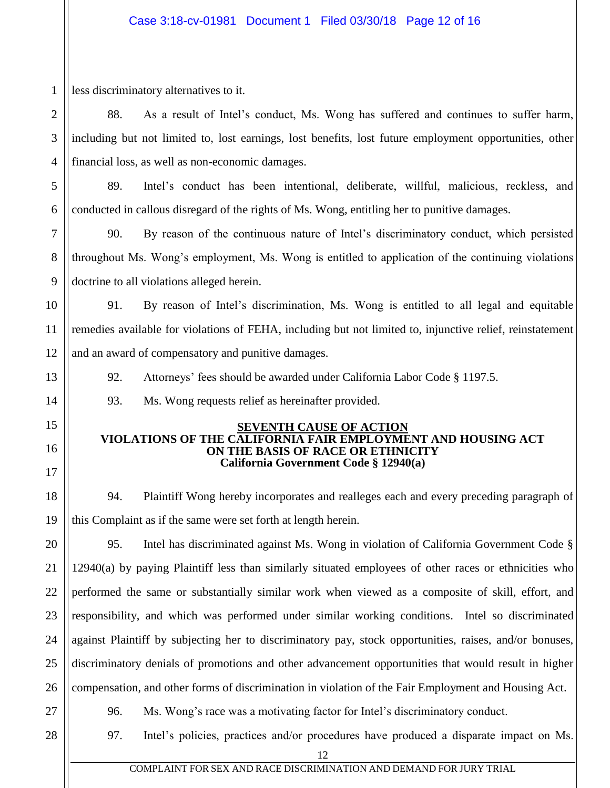1 2 3 4 5 6 7 8 9 10 11 12 13 14 15 16 17 18 19 20 21 22 23 24 25 26 27 28 12 less discriminatory alternatives to it. 88. As a result of Intel's conduct, Ms. Wong has suffered and continues to suffer harm, including but not limited to, lost earnings, lost benefits, lost future employment opportunities, other financial loss, as well as non-economic damages. 89. Intel's conduct has been intentional, deliberate, willful, malicious, reckless, and conducted in callous disregard of the rights of Ms. Wong, entitling her to punitive damages. 90. By reason of the continuous nature of Intel's discriminatory conduct, which persisted throughout Ms. Wong's employment, Ms. Wong is entitled to application of the continuing violations doctrine to all violations alleged herein. 91. By reason of Intel's discrimination, Ms. Wong is entitled to all legal and equitable remedies available for violations of FEHA, including but not limited to, injunctive relief, reinstatement and an award of compensatory and punitive damages. 92. Attorneys' fees should be awarded under California Labor Code § 1197.5. 93. Ms. Wong requests relief as hereinafter provided. **SEVENTH CAUSE OF ACTION VIOLATIONS OF THE CALIFORNIA FAIR EMPLOYMENT AND HOUSING ACT ON THE BASIS OF RACE OR ETHNICITY California Government Code § 12940(a)** 94. Plaintiff Wong hereby incorporates and realleges each and every preceding paragraph of this Complaint as if the same were set forth at length herein. 95. Intel has discriminated against Ms. Wong in violation of California Government Code § 12940(a) by paying Plaintiff less than similarly situated employees of other races or ethnicities who performed the same or substantially similar work when viewed as a composite of skill, effort, and responsibility, and which was performed under similar working conditions. Intel so discriminated against Plaintiff by subjecting her to discriminatory pay, stock opportunities, raises, and/or bonuses, discriminatory denials of promotions and other advancement opportunities that would result in higher compensation, and other forms of discrimination in violation of the Fair Employment and Housing Act. 96. Ms. Wong's race was a motivating factor for Intel's discriminatory conduct. 97. Intel's policies, practices and/or procedures have produced a disparate impact on Ms.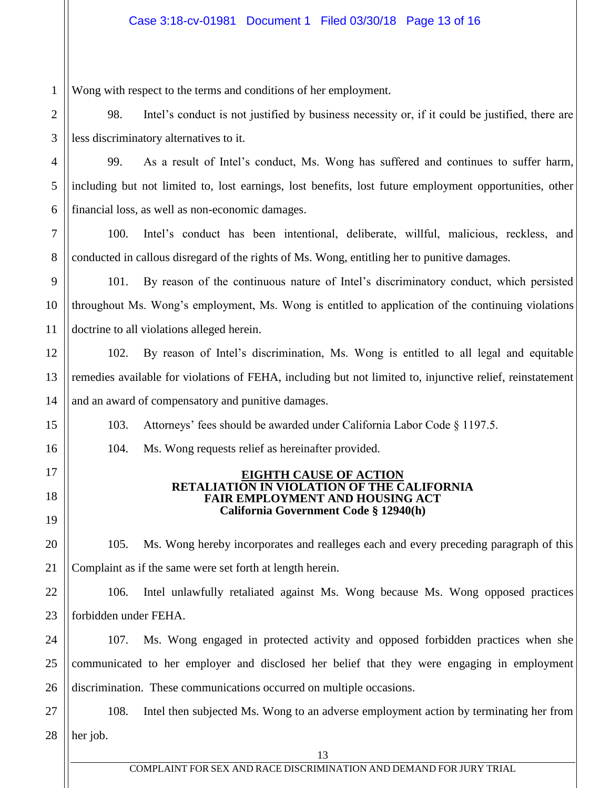1 Wong with respect to the terms and conditions of her employment.

7

8

11

15

16

17

18

19

20

21

2 3 98. Intel's conduct is not justified by business necessity or, if it could be justified, there are less discriminatory alternatives to it.

4 5 6 99. As a result of Intel's conduct, Ms. Wong has suffered and continues to suffer harm, including but not limited to, lost earnings, lost benefits, lost future employment opportunities, other financial loss, as well as non-economic damages.

100. Intel's conduct has been intentional, deliberate, willful, malicious, reckless, and conducted in callous disregard of the rights of Ms. Wong, entitling her to punitive damages.

9 10 101. By reason of the continuous nature of Intel's discriminatory conduct, which persisted throughout Ms. Wong's employment, Ms. Wong is entitled to application of the continuing violations doctrine to all violations alleged herein.

12 13 14 102. By reason of Intel's discrimination, Ms. Wong is entitled to all legal and equitable remedies available for violations of FEHA, including but not limited to, injunctive relief, reinstatement and an award of compensatory and punitive damages.

103. Attorneys' fees should be awarded under California Labor Code § 1197.5.

104. Ms. Wong requests relief as hereinafter provided.

#### **EIGHTH CAUSE OF ACTION RETALIATION IN VIOLATION OF THE CALIFORNIA FAIR EMPLOYMENT AND HOUSING ACT California Government Code § 12940(h)**

105. Ms. Wong hereby incorporates and realleges each and every preceding paragraph of this Complaint as if the same were set forth at length herein.

22 23 106. Intel unlawfully retaliated against Ms. Wong because Ms. Wong opposed practices forbidden under FEHA.

24 25 26 107. Ms. Wong engaged in protected activity and opposed forbidden practices when she communicated to her employer and disclosed her belief that they were engaging in employment discrimination. These communications occurred on multiple occasions.

27 28 108. Intel then subjected Ms. Wong to an adverse employment action by terminating her from her job.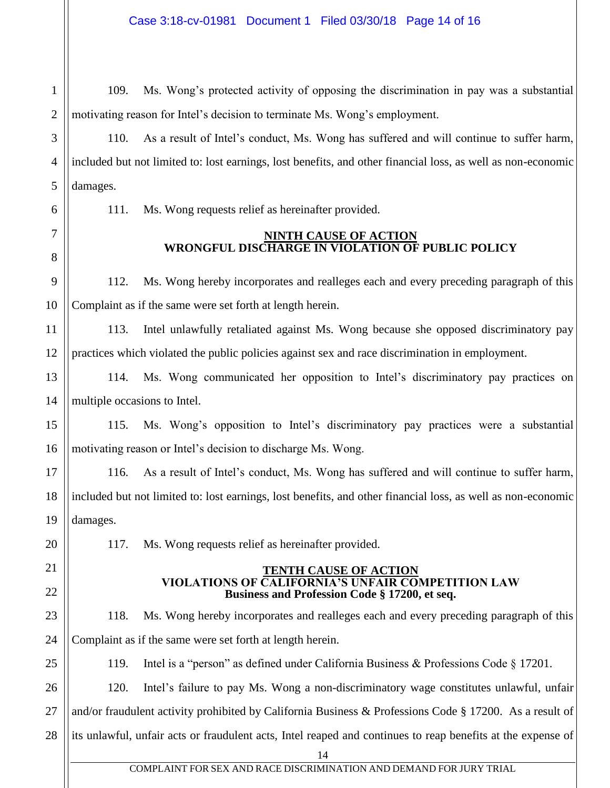1 2 3 4 5 6 109. Ms. Wong's protected activity of opposing the discrimination in pay was a substantial motivating reason for Intel's decision to terminate Ms. Wong's employment. 110. As a result of Intel's conduct, Ms. Wong has suffered and will continue to suffer harm, included but not limited to: lost earnings, lost benefits, and other financial loss, as well as non-economic damages. 111. Ms. Wong requests relief as hereinafter provided.

#### **NINTH CAUSE OF ACTION WRONGFUL DISCHARGE IN VIOLATION OF PUBLIC POLICY**

112. Ms. Wong hereby incorporates and realleges each and every preceding paragraph of this Complaint as if the same were set forth at length herein.

12 113. Intel unlawfully retaliated against Ms. Wong because she opposed discriminatory pay practices which violated the public policies against sex and race discrimination in employment.

114. Ms. Wong communicated her opposition to Intel's discriminatory pay practices on multiple occasions to Intel.

15 16 115. Ms. Wong's opposition to Intel's discriminatory pay practices were a substantial motivating reason or Intel's decision to discharge Ms. Wong.

116. As a result of Intel's conduct, Ms. Wong has suffered and will continue to suffer harm, included but not limited to: lost earnings, lost benefits, and other financial loss, as well as non-economic damages.

117. Ms. Wong requests relief as hereinafter provided.

7

8

9

10

11

13

14

17

18

19

20

21

22

23

24

25

#### **TENTH CAUSE OF ACTION VIOLATIONS OF CALIFORNIA'S UNFAIR COMPETITION LAW Business and Profession Code § 17200, et seq.**

118. Ms. Wong hereby incorporates and realleges each and every preceding paragraph of this Complaint as if the same were set forth at length herein.

119. Intel is a "person" as defined under California Business & Professions Code § 17201.

26 27 28 120. Intel's failure to pay Ms. Wong a non-discriminatory wage constitutes unlawful, unfair and/or fraudulent activity prohibited by California Business & Professions Code § 17200. As a result of its unlawful, unfair acts or fraudulent acts, Intel reaped and continues to reap benefits at the expense of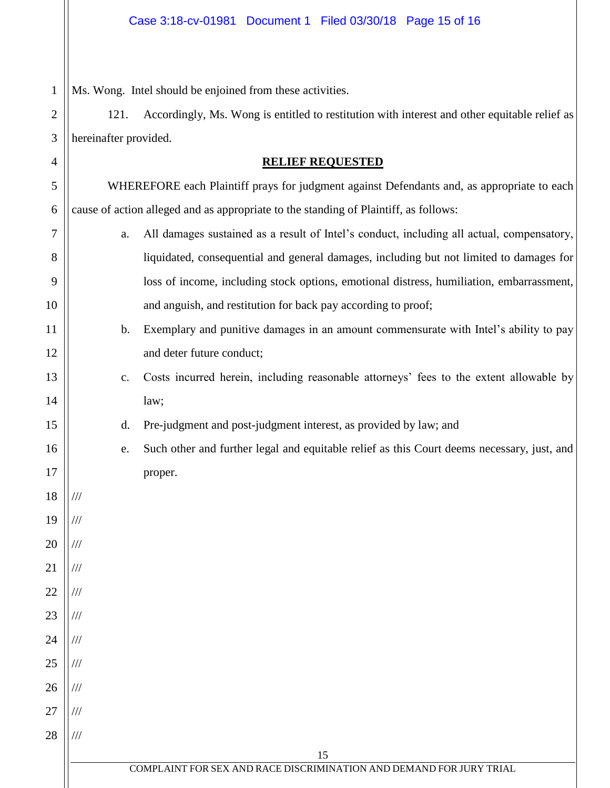1 Ms. Wong. Intel should be enjoined from these activities.

2 3 121. Accordingly, Ms. Wong is entitled to restitution with interest and other equitable relief as hereinafter provided.

| $\mathcal{L}$   | neremaner provided.                                                                        |                                                                                            |  |
|-----------------|--------------------------------------------------------------------------------------------|--------------------------------------------------------------------------------------------|--|
| 4               | <b>RELIEF REQUESTED</b>                                                                    |                                                                                            |  |
| 5               | WHEREFORE each Plaintiff prays for judgment against Defendants and, as appropriate to each |                                                                                            |  |
| 6               | cause of action alleged and as appropriate to the standing of Plaintiff, as follows:       |                                                                                            |  |
| $\tau$          | a.                                                                                         | All damages sustained as a result of Intel's conduct, including all actual, compensatory,  |  |
| 8               |                                                                                            | liquidated, consequential and general damages, including but not limited to damages for    |  |
| 9               |                                                                                            | loss of income, including stock options, emotional distress, humiliation, embarrassment,   |  |
| 10              |                                                                                            | and anguish, and restitution for back pay according to proof;                              |  |
| 11              | b.                                                                                         | Exemplary and punitive damages in an amount commensurate with Intel's ability to pay       |  |
| 12              |                                                                                            | and deter future conduct;                                                                  |  |
| 13              | $\mathbf{c}$ .                                                                             | Costs incurred herein, including reasonable attorneys' fees to the extent allowable by     |  |
| 14              |                                                                                            | law;                                                                                       |  |
| 15              | d.                                                                                         | Pre-judgment and post-judgment interest, as provided by law; and                           |  |
| 16              | e.                                                                                         | Such other and further legal and equitable relief as this Court deems necessary, just, and |  |
| 17              |                                                                                            | proper.                                                                                    |  |
| 18              | ///                                                                                        |                                                                                            |  |
| 19              | ///                                                                                        |                                                                                            |  |
| 20              | $/\!/ \!/$                                                                                 |                                                                                            |  |
| $\overline{21}$ | $/\!/ \!/$                                                                                 |                                                                                            |  |
| 22              | $/\!/ /$                                                                                   |                                                                                            |  |
| 23              | $/\!/ \!/$                                                                                 |                                                                                            |  |
| 24              | $/\!/ \!/$                                                                                 |                                                                                            |  |
| 25              | $/\!/ \!/$                                                                                 |                                                                                            |  |
| 26              | $/\!/ \!/$                                                                                 |                                                                                            |  |
| 27              | $/\!/ /$                                                                                   |                                                                                            |  |
| 28              | $/\!/ /$                                                                                   |                                                                                            |  |